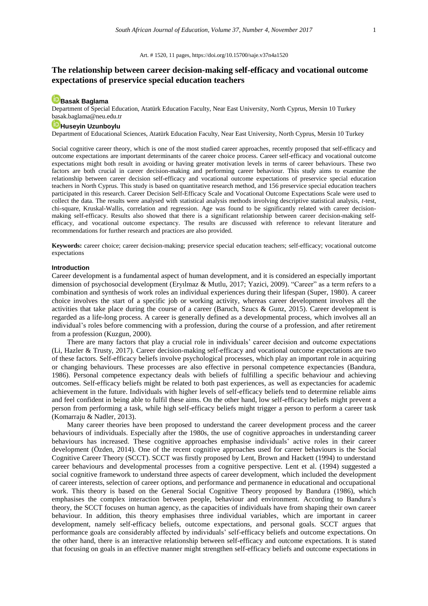#### Art. # 1520, 11 pages[, https://doi.org/10.15700/saje.v37n4a1520](https://doi.org/10.15700/saje.v37n4a1520)

# **The relationship between career decision-making self-efficacy and vocational outcome expectations of preservice special education teachers**

# **[Basak Baglama](http://orcid.org/0000-0001-7982-8852)**

Department of Special Education, Atatürk Education Faculty, Near East University, North Cyprus, Mersin 10 Turkey basak.baglama@neu.edu.tr

## **[Huseyin Uzunboylu](http://orcid.org/0000-0003-3222-6808)**

Department of Educational Sciences, Atatürk Education Faculty, Near East University, North Cyprus, Mersin 10 Turkey

Social cognitive career theory, which is one of the most studied career approaches, recently proposed that self-efficacy and outcome expectations are important determinants of the career choice process. Career self-efficacy and vocational outcome expectations might both result in avoiding or having greater motivation levels in terms of career behaviours. These two factors are both crucial in career decision-making and performing career behaviour. This study aims to examine the relationship between career decision self-efficacy and vocational outcome expectations of preservice special education teachers in North Cyprus. This study is based on quantitative research method, and 156 preservice special education teachers participated in this research. Career Decision Self-Efficacy Scale and Vocational Outcome Expectations Scale were used to collect the data. The results were analysed with statistical analysis methods involving descriptive statistical analysis, *t*-test, chi-square, Kruskal-Wallis, correlation and regression. Age was found to be significantly related with career decisionmaking self-efficacy. Results also showed that there is a significant relationship between career decision-making selfefficacy, and vocational outcome expectancy. The results are discussed with reference to relevant literature and recommendations for further research and practices are also provided.

**Keywords:** career choice; career decision-making; preservice special education teachers; self-efficacy; vocational outcome expectations

#### **Introduction**

Career development is a fundamental aspect of human development, and it is considered an especially important dimension of psychosocial development (Eryılmaz & Mutlu, 2017; Yazici, 2009). "Career" as a term refers to a combination and synthesis of work roles an individual experiences during their lifespan (Super, 1980). A career choice involves the start of a specific job or working activity, whereas career development involves all the activities that take place during the course of a career (Baruch, Szucs & Gunz, 2015). Career development is regarded as a life-long process. A career is generally defined as a developmental process, which involves all an individual's roles before commencing with a profession, during the course of a profession, and after retirement from a profession (Kuzgun, 2000).

There are many factors that play a crucial role in individuals' career decision and outcome expectations (Li, Hazler & Trusty, 2017). Career decision-making self-efficacy and vocational outcome expectations are two of these factors. Self-efficacy beliefs involve psychological processes, which play an important role in acquiring or changing behaviours. These processes are also effective in personal competence expectancies (Bandura, 1986). Personal competence expectancy deals with beliefs of fulfilling a specific behaviour and achieving outcomes. Self-efficacy beliefs might be related to both past experiences, as well as expectancies for academic achievement in the future. Individuals with higher levels of self-efficacy beliefs tend to determine reliable aims and feel confident in being able to fulfil these aims. On the other hand, low self-efficacy beliefs might prevent a person from performing a task, while high self-efficacy beliefs might trigger a person to perform a career task (Komarraju & Nadler, 2013).

Many career theories have been proposed to understand the career development process and the career behaviours of individuals. Especially after the 1980s, the use of cognitive approaches in understanding career behaviours has increased. These cognitive approaches emphasise individuals' active roles in their career development (Özden, 2014). One of the recent cognitive approaches used for career behaviours is the Social Cognitive Career Theory (SCCT). SCCT was firstly proposed by Lent, Brown and Hackett (1994) to understand career behaviours and developmental processes from a cognitive perspective. Lent et al. (1994) suggested a social cognitive framework to understand three aspects of career development, which included the development of career interests, selection of career options, and performance and permanence in educational and occupational work. This theory is based on the General Social Cognitive Theory proposed by Bandura (1986), which emphasises the complex interaction between people, behaviour and environment. According to Bandura's theory, the SCCT focuses on human agency, as the capacities of individuals have from shaping their own career behaviour. In addition, this theory emphasises three individual variables, which are important in career development, namely self-efficacy beliefs, outcome expectations, and personal goals. SCCT argues that performance goals are considerably affected by individuals' self-efficacy beliefs and outcome expectations. On the other hand, there is an interactive relationship between self-efficacy and outcome expectations. It is stated that focusing on goals in an effective manner might strengthen self-efficacy beliefs and outcome expectations in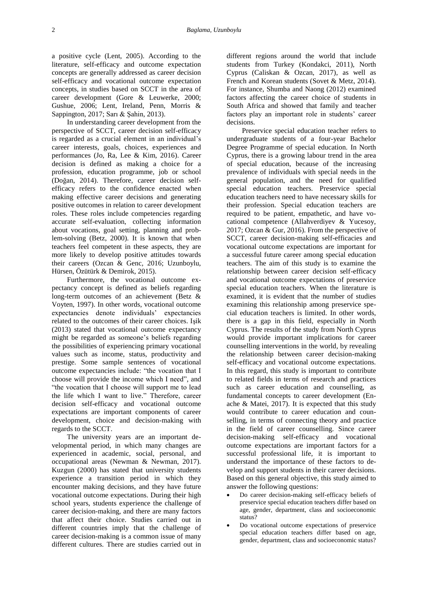a positive cycle (Lent, 2005). According to the literature, self-efficacy and outcome expectation concepts are generally addressed as career decision self-efficacy and vocational outcome expectation concepts, in studies based on SCCT in the area of career development (Gore & Leuwerke, 2000; Gushue, 2006; Lent, Ireland, Penn, Morris & Sappington, 2017; Sarı & Şahin, 2013).

In understanding career development from the perspective of SCCT, career decision self-efficacy is regarded as a crucial element in an individual's career interests, goals, choices, experiences and performances (Jo, Ra, Lee & Kim, 2016). Career decision is defined as making a choice for a profession, education programme, job or school (Doğan, 2014). Therefore, career decision selfefficacy refers to the confidence enacted when making effective career decisions and generating positive outcomes in relation to career development roles. These roles include competencies regarding accurate self-evaluation, collecting information about vocations, goal setting, planning and problem-solving (Betz, 2000). It is known that when teachers feel competent in these aspects, they are more likely to develop positive attitudes towards their careers (Ozcan & Genc, 2016; Uzunboylu, Hürsen, Özütürk & Demirok, 2015).

Furthermore, the vocational outcome expectancy concept is defined as beliefs regarding long-term outcomes of an achievement (Betz & Voyten, 1997). In other words, vocational outcome expectancies denote individuals' expectancies related to the outcomes of their career choices. Işik (2013) stated that vocational outcome expectancy might be regarded as someone's beliefs regarding the possibilities of experiencing primary vocational values such as income, status, productivity and prestige. Some sample sentences of vocational outcome expectancies include: "the vocation that I choose will provide the income which I need", and "the vocation that I choose will support me to lead the life which I want to live." Therefore, career decision self-efficacy and vocational outcome expectations are important components of career development, choice and decision-making with regards to the SCCT.

The university years are an important developmental period, in which many changes are experienced in academic, social, personal, and occupational areas (Newman & Newman, 2017). Kuzgun (2000) has stated that university students experience a transition period in which they encounter making decisions, and they have future vocational outcome expectations. During their high school years, students experience the challenge of career decision-making, and there are many factors that affect their choice. Studies carried out in different countries imply that the challenge of career decision-making is a common issue of many different cultures. There are studies carried out in

different regions around the world that include students from Turkey (Kondakci, 2011), North Cyprus (Caliskan & Ozcan, 2017), as well as French and Korean students (Sovet & Metz, 2014). For instance, Shumba and Naong (2012) examined factors affecting the career choice of students in South Africa and showed that family and teacher factors play an important role in students' career decisions.

Preservice special education teacher refers to undergraduate students of a four-year Bachelor Degree Programme of special education. In North Cyprus, there is a growing labour trend in the area of special education, because of the increasing prevalence of individuals with special needs in the general population, and the need for qualified special education teachers. Preservice special education teachers need to have necessary skills for their profession. Special education teachers are required to be patient, empathetic, and have vocational competence (Allahverdiyev & Yucesoy, 2017; Ozcan & Gur, 2016). From the perspective of SCCT, career decision-making self-efficacies and vocational outcome expectations are important for a successful future career among special education teachers. The aim of this study is to examine the relationship between career decision self-efficacy and vocational outcome expectations of preservice special education teachers. When the literature is examined, it is evident that the number of studies examining this relationship among preservice special education teachers is limited. In other words, there is a gap in this field, especially in North Cyprus. The results of the study from North Cyprus would provide important implications for career counselling interventions in the world, by revealing the relationship between career decision-making self-efficacy and vocational outcome expectations. In this regard, this study is important to contribute to related fields in terms of research and practices such as career education and counselling, as fundamental concepts to career development (Enache & Matei, 2017). It is expected that this study would contribute to career education and counselling, in terms of connecting theory and practice in the field of career counselling. Since career decision-making self-efficacy and vocational outcome expectations are important factors for a successful professional life, it is important to understand the importance of these factors to develop and support students in their career decisions. Based on this general objective, this study aimed to answer the following questions:

- Do career decision-making self-efficacy beliefs of preservice special education teachers differ based on age, gender, department, class and socioeconomic status?
- Do vocational outcome expectations of preservice special education teachers differ based on age, gender, department, class and socioeconomic status?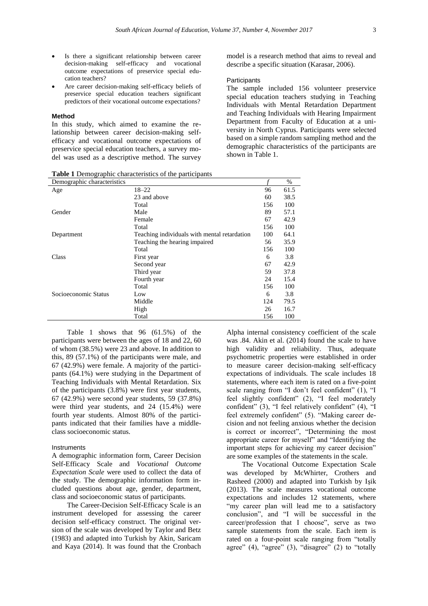- Is there a significant relationship between career decision-making self-efficacy and vocational outcome expectations of preservice special education teachers?
- Are career decision-making self-efficacy beliefs of preservice special education teachers significant predictors of their vocational outcome expectations?

### **Method**

In this study, which aimed to examine the relationship between career decision-making selfefficacy and vocational outcome expectations of preservice special education teachers, a survey model was used as a descriptive method. The survey

**Table 1** Demographic characteristics of the participants

model is a research method that aims to reveal and describe a specific situation (Karasar, 2006).

#### **Participants**

The sample included 156 volunteer preservice special education teachers studying in Teaching Individuals with Mental Retardation Department and Teaching Individuals with Hearing Impairment Department from Faculty of Education at a university in North Cyprus. Participants were selected based on a simple random sampling method and the demographic characteristics of the participants are shown in Table 1.

| Demographic characteristics |                                              |     | %    |
|-----------------------------|----------------------------------------------|-----|------|
| Age                         | $18 - 22$                                    | 96  | 61.5 |
|                             | 23 and above                                 | 60  | 38.5 |
|                             | Total                                        | 156 | 100  |
| Gender                      | Male                                         | 89  | 57.1 |
|                             | Female                                       | 67  | 42.9 |
|                             | Total                                        | 156 | 100  |
| Department                  | Teaching individuals with mental retardation | 100 | 64.1 |
|                             | Teaching the hearing impaired                | 56  | 35.9 |
|                             | Total                                        | 156 | 100  |
| Class                       | First year                                   | 6   | 3.8  |
|                             | Second year                                  | 67  | 42.9 |
|                             | Third year                                   | 59  | 37.8 |
|                             | Fourth year                                  | 24  | 15.4 |
|                             | Total                                        | 156 | 100  |
| Socioeconomic Status        | Low                                          | 6   | 3.8  |
|                             | Middle                                       | 124 | 79.5 |
|                             | High                                         | 26  | 16.7 |
|                             | Total                                        | 156 | 100  |

Table 1 shows that 96 (61.5%) of the participants were between the ages of 18 and 22, 60 of whom (38.5%) were 23 and above. In addition to this, 89 (57.1%) of the participants were male, and 67 (42.9%) were female. A majority of the participants (64.1%) were studying in the Department of Teaching Individuals with Mental Retardation. Six of the participants (3.8%) were first year students, 67 (42.9%) were second year students, 59 (37.8%) were third year students, and 24 (15.4%) were fourth year students. Almost 80% of the participants indicated that their families have a middleclass socioeconomic status.

## Instruments

A demographic information form, Career Decision Self-Efficacy Scale and *Vocational Outcome Expectation Scale* were used to collect the data of the study. The demographic information form included questions about age, gender, department, class and socioeconomic status of participants.

The Career-Decision Self-Efficacy Scale is an instrument developed for assessing the career decision self-efficacy construct. The original version of the scale was developed by Taylor and Betz (1983) and adapted into Turkish by Akin, Saricam and Kaya (2014). It was found that the Cronbach

Alpha internal consistency coefficient of the scale was .84. Akin et al. (2014) found the scale to have high validity and reliability. Thus, adequate psychometric properties were established in order to measure career decision-making self-efficacy expectations of individuals. The scale includes 18 statements, where each item is rated on a five-point scale ranging from "I don't feel confident"  $(1)$ , "I feel slightly confident" (2), "I feel moderately confident" (3), "I feel relatively confident" (4), "I feel extremely confident" (5). "Making career decision and not feeling anxious whether the decision is correct or incorrect", "Determining the most appropriate career for myself" and "Identifying the important steps for achieving my career decision" are some examples of the statements in the scale.

The Vocational Outcome Expectation Scale was developed by McWhirter, Crothers and Rasheed (2000) and adapted into Turkish by Işik (2013). The scale measures vocational outcome expectations and includes 12 statements, where "my career plan will lead me to a satisfactory conclusion", and "I will be successful in the career/profession that I choose", serve as two sample statements from the scale. Each item is rated on a four-point scale ranging from "totally agree" (4), "agree" (3), "disagree" (2) to "totally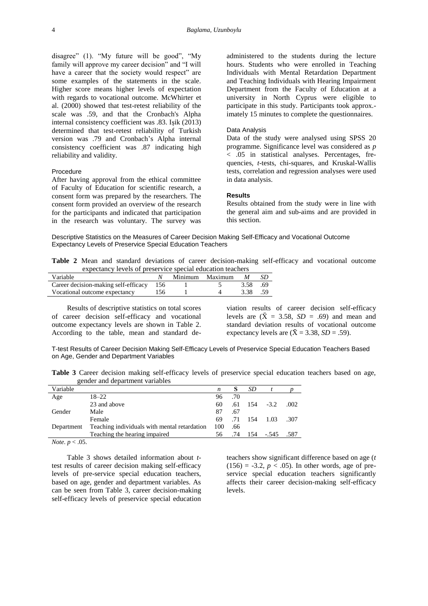disagree" (1). "My future will be good", "My family will approve my career decision" and "I will have a career that the society would respect" are some examples of the statements in the scale. Higher score means higher levels of expectation with regards to vocational outcome. McWhirter et al. (2000) showed that test-retest reliability of the scale was .59, and that the Cronbach's Alpha internal consistency coefficient was .83. Işik (2013) determined that test-retest reliability of Turkish version was .79 and Cronbach's Alpha internal consistency coefficient was .87 indicating high reliability and validity.

### Procedure

After having approval from the ethical committee of Faculty of Education for scientific research, a consent form was prepared by the researchers. The consent form provided an overview of the research for the participants and indicated that participation in the research was voluntary. The survey was administered to the students during the lecture hours. Students who were enrolled in Teaching Individuals with Mental Retardation Department and Teaching Individuals with Hearing Impairment Department from the Faculty of Education at a university in North Cyprus were eligible to participate in this study. Participants took approx. imately 15 minutes to complete the questionnaires.

#### Data Analysis

Data of the study were analysed using SPSS 20 programme. Significance level was considered as *p* < .05 in statistical analyses. Percentages, frequencies, *t*-tests, chi-squares, and Kruskal-Wallis tests, correlation and regression analyses were used in data analysis.

#### **Results**

Results obtained from the study were in line with the general aim and sub-aims and are provided in this section.

Descriptive Statistics on the Measures of Career Decision Making Self-Efficacy and Vocational Outcome Expectancy Levels of Preservice Special Education Teachers

**Table 2** Mean and standard deviations of career decision-making self-efficacy and vocational outcome expectancy levels of preservice special education teachers

|                                          |  | М               |      |
|------------------------------------------|--|-----------------|------|
| Career decision-making self-efficacy 156 |  | 3.58            | - 69 |
| 156                                      |  | 3.38            |      |
|                                          |  | Minimum Maximum |      |

Results of descriptive statistics on total scores of career decision self-efficacy and vocational outcome expectancy levels are shown in Table 2. According to the table, mean and standard de-

viation results of career decision self-efficacy levels are  $(\bar{X} = 3.58, SD = .69)$  and mean and standard deviation results of vocational outcome expectancy levels are  $(\bar{X} = 3.38, SD = .59)$ .

T-test Results of Career Decision Making Self-Efficacy Levels of Preservice Special Education Teachers Based on Age, Gender and Department Variables

**Table 3** Career decision making self-efficacy levels of preservice special education teachers based on age, gender and department variables

| Variable   |                                              | n   |     | SD |                |      |
|------------|----------------------------------------------|-----|-----|----|----------------|------|
| Age        | $18 - 22$                                    | 96  | .70 |    |                |      |
|            | 23 and above                                 | 60  | .61 |    | $154 - 3.2$    | .002 |
| Gender     | Male                                         | 87  | .67 |    |                |      |
|            | Female                                       | 69  |     |    | $-71$ 154 1.03 | .307 |
| Department | Teaching individuals with mental retardation | 100 | .66 |    |                |      |
|            | Teaching the hearing impaired                | 56  | .74 |    | 154 - 545 .587 |      |

*Note*. *p* < .05.

Table 3 shows detailed information about *t*test results of career decision making self-efficacy levels of pre-service special education teachers, based on age, gender and department variables. As can be seen from Table 3, career decision-making self-efficacy levels of preservice special education

teachers show significant difference based on age (*t*  $(156) = -3.2, p < .05$ . In other words, age of preservice special education teachers significantly affects their career decision-making self-efficacy levels.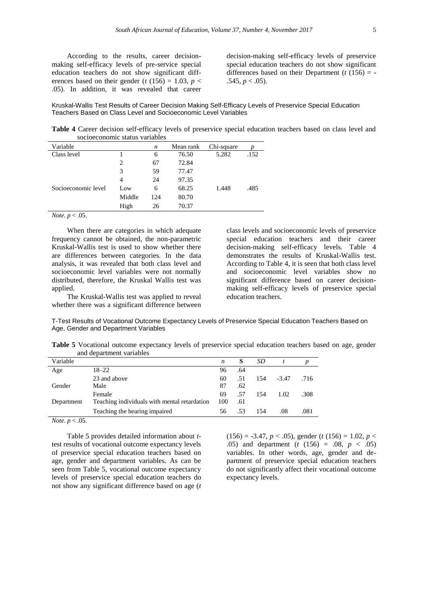According to the results, career decisionmaking self-efficacy levels of pre-service special education teachers do not show significant differences based on their gender ( $t$  (156) = 1.03,  $p$  < .05). In addition, it was revealed that career

decision-making self-efficacy levels of preservice special education teachers do not show significant differences based on their Department  $(t (156) = .545, p < .05$ ).

Kruskal-Wallis Test Results of Career Decision Making Self-Efficacy Levels of Preservice Special Education Teachers Based on Class Level and Socioeconomic Level Variables

**Table 4** Career decision self-efficacy levels of preservice special education teachers based on class level and socioeconomic status variables

| Variable            |        | $\boldsymbol{n}$ | Mean rank | Chi-square |      |
|---------------------|--------|------------------|-----------|------------|------|
| Class level         |        | 6                | 76.50     | 5.282      | .152 |
|                     | 2      | 67               | 72.84     |            |      |
|                     | 3      | 59               | 77.47     |            |      |
|                     | 4      | 24               | 97.35     |            |      |
| Socioeconomic level | Low    | 6                | 68.25     | 1.448      | .485 |
|                     | Middle | 124              | 80.70     |            |      |
|                     | High   | 26               | 70.37     |            |      |

*Note*. *p* < .05.

When there are categories in which adequate frequency cannot be obtained, the non-parametric Kruskal-Wallis test is used to show whether there are differences between categories. In the data analysis, it was revealed that both class level and socioeconomic level variables were not normally distributed, therefore, the Kruskal Wallis test was applied.

The Kruskal-Wallis test was applied to reveal whether there was a significant difference between class levels and socioeconomic levels of preservice special education teachers and their career decision-making self-efficacy levels. Table 4 demonstrates the results of Kruskal-Wallis test. According to Table 4, it is seen that both class level and socioeconomic level variables show no significant difference based on career decisionmaking self-efficacy levels of preservice special education teachers.

T-Test Results of Vocational Outcome Expectancy Levels of Preservice Special Education Teachers Based on Age, Gender and Department Variables

**Table 5** Vocational outcome expectancy levels of preservice special education teachers based on age, gender and department variables

| Variable   |                                              | n   |     | SD  |         |      |
|------------|----------------------------------------------|-----|-----|-----|---------|------|
| Age        | $18 - 22$                                    | 96  | .64 |     |         |      |
|            | 23 and above                                 | 60  | .51 | 154 | $-3.47$ | .716 |
| Gender     | Male                                         | 87  | .62 |     |         |      |
|            | Female                                       | 69  | .57 | 154 | 1.02    | .308 |
| Department | Teaching individuals with mental retardation | 100 | .61 |     |         |      |
|            | Teaching the hearing impaired                | 56  | .53 | 154 | .08     | .081 |

*Note*.  $p < .05$ .

Table 5 provides detailed information about *t*test results of vocational outcome expectancy levels of preservice special education teachers based on age, gender and department variables. As can be seen from Table 5, vocational outcome expectancy levels of preservice special education teachers do not show any significant difference based on age (*t*

 $(156) = -3.47$ ,  $p < .05$ ), gender (*t* (156) = 1.02,  $p <$ .05) and department (*t* (156) = .08, *p* < .05) variables. In other words, age, gender and department of preservice special education teachers do not significantly affect their vocational outcome expectancy levels.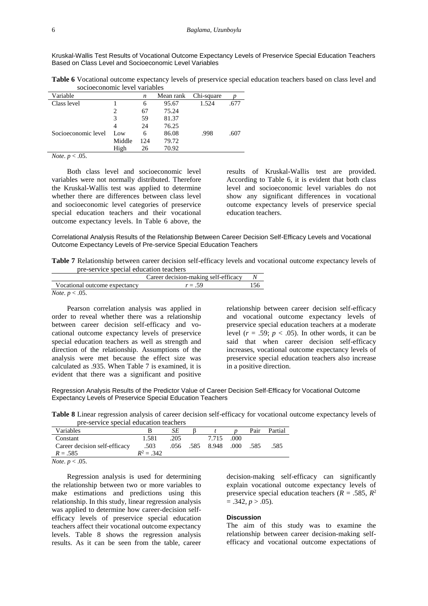Kruskal-Wallis Test Results of Vocational Outcome Expectancy Levels of Preservice Special Education Teachers Based on Class Level and Socioeconomic Level Variables

**Table 6** Vocational outcome expectancy levels of preservice special education teachers based on class level and socioeconomic level variables

| Variable            |        | n   | Mean rank | Chi-square |      |
|---------------------|--------|-----|-----------|------------|------|
| Class level         |        | 6   | 95.67     | 1.524      | .677 |
|                     |        | 67  | 75.24     |            |      |
|                     | 3      | 59  | 81.37     |            |      |
|                     |        | 24  | 76.25     |            |      |
| Socioeconomic level | Low    | 6   | 86.08     | .998       | .607 |
|                     | Middle | 124 | 79.72     |            |      |
|                     | High   | 26  | 70.92     |            |      |

*Note*.  $p < .05$ .

Both class level and socioeconomic level variables were not normally distributed. Therefore the Kruskal-Wallis test was applied to determine whether there are differences between class level and socioeconomic level categories of preservice special education teachers and their vocational outcome expectancy levels. In Table 6 above, the

results of Kruskal-Wallis test are provided. According to Table 6, it is evident that both class level and socioeconomic level variables do not show any significant differences in vocational outcome expectancy levels of preservice special education teachers.

Correlational Analysis Results of the Relationship Between Career Decision Self-Efficacy Levels and Vocational Outcome Expectancy Levels of Pre-service Special Education Teachers

**Table 7** Relationship between career decision self-efficacy levels and vocational outcome expectancy levels of pre-service special education teachers

|                               | Career decision-making self-efficacy |  |
|-------------------------------|--------------------------------------|--|
| Vocational outcome expectancy | $r = .59$                            |  |
| <i>Note.</i> $p < .05$ .      |                                      |  |

Pearson correlation analysis was applied in order to reveal whether there was a relationship between career decision self-efficacy and vocational outcome expectancy levels of preservice special education teachers as well as strength and direction of the relationship. Assumptions of the analysis were met because the effect size was calculated as .935. When Table 7 is examined, it is evident that there was a significant and positive

relationship between career decision self-efficacy and vocational outcome expectancy levels of preservice special education teachers at a moderate level  $(r = .59; p < .05)$ . In other words, it can be said that when career decision self-efficacy increases, vocational outcome expectancy levels of preservice special education teachers also increase in a positive direction.

Regression Analysis Results of the Predictor Value of Career Decision Self-Efficacy for Vocational Outcome Expectancy Levels of Preservice Special Education Teachers

**Table 8** Linear regression analysis of career decision self-efficacy for vocational outcome expectancy levels of pre-service special education teachers

| Variables                     |              |      |                      |      | Pair | Partial |
|-------------------------------|--------------|------|----------------------|------|------|---------|
| Constant                      | 1.581        | .205 | 7.715                | -000 |      |         |
| Career decision self-efficacy | .503         |      | .056 .585 8.948 .000 |      | .585 | .585    |
| $R = .585$                    | $R^2 = .342$ |      |                      |      |      |         |

*Note*.  $p < .05$ .

Regression analysis is used for determining the relationship between two or more variables to make estimations and predictions using this relationship. In this study, linear regression analysis was applied to determine how career-decision selfefficacy levels of preservice special education teachers affect their vocational outcome expectancy levels. Table 8 shows the regression analysis results. As it can be seen from the table, career decision-making self-efficacy can significantly explain vocational outcome expectancy levels of preservice special education teachers ( $R = .585$ ,  $R^2$  $= .342, p > .05$ ).

# **Discussion**

The aim of this study was to examine the relationship between career decision-making selfefficacy and vocational outcome expectations of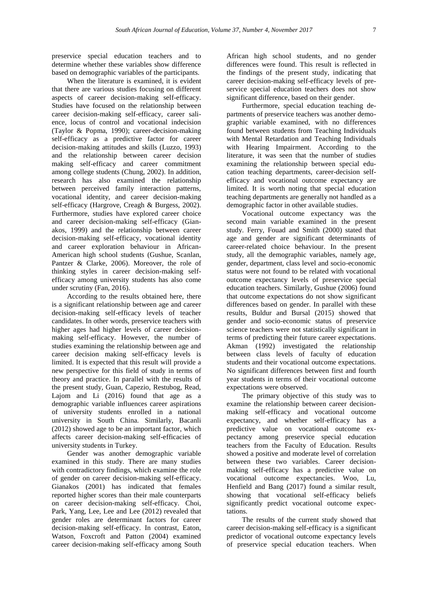preservice special education teachers and to determine whether these variables show difference based on demographic variables of the participants.

When the literature is examined, it is evident that there are various studies focusing on different aspects of career decision-making self-efficacy. Studies have focused on the relationship between career decision-making self-efficacy, career salience, locus of control and vocational indecision (Taylor & Popma, 1990); career-decision-making self-efficacy as a predictive factor for career decision-making attitudes and skills (Luzzo, 1993) and the relationship between career decision making self-efficacy and career commitment among college students (Chung, 2002). In addition, research has also examined the relationship between perceived family interaction patterns, vocational identity, and career decision-making self-efficacy (Hargrove, Creagh & Burgess, 2002). Furthermore, studies have explored career choice and career decision-making self-efficacy (Gianakos, 1999) and the relationship between career decision-making self-efficacy, vocational identity and career exploration behaviour in African-American high school students (Gushue, Scanlan, Pantzer & Clarke, 2006). Moreover, the role of thinking styles in career decision-making selfefficacy among university students has also come under scrutiny (Fan, 2016).

According to the results obtained here, there is a significant relationship between age and career decision-making self-efficacy levels of teacher candidates. In other words, preservice teachers with higher ages had higher levels of career decisionmaking self-efficacy. However, the number of studies examining the relationship between age and career decision making self-efficacy levels is limited. It is expected that this result will provide a new perspective for this field of study in terms of theory and practice. In parallel with the results of the present study, Guan, Capezio, Restubog, Read, Lajom and Li (2016) found that age as a demographic variable influences career aspirations of university students enrolled in a national university in South China. Similarly, Bacanli (2012) showed age to be an important factor, which affects career decision-making self-efficacies of university students in Turkey.

Gender was another demographic variable examined in this study. There are many studies with contradictory findings, which examine the role of gender on career decision-making self-efficacy. Gianakos (2001) has indicated that females reported higher scores than their male counterparts on career decision-making self-efficacy. Choi, Park, Yang, Lee, Lee and Lee (2012) revealed that gender roles are determinant factors for career decision-making self-efficacy. In contrast, Eaton, Watson, Foxcroft and Patton (2004) examined career decision-making self-efficacy among South African high school students, and no gender differences were found. This result is reflected in the findings of the present study, indicating that career decision-making self-efficacy levels of preservice special education teachers does not show significant difference, based on their gender.

Furthermore, special education teaching departments of preservice teachers was another demographic variable examined, with no differences found between students from Teaching Individuals with Mental Retardation and Teaching Individuals with Hearing Impairment. According to the literature, it was seen that the number of studies examining the relationship between special education teaching departments, career-decision selfefficacy and vocational outcome expectancy are limited. It is worth noting that special education teaching departments are generally not handled as a demographic factor in other available studies.

Vocational outcome expectancy was the second main variable examined in the present study. Ferry, Fouad and Smith (2000) stated that age and gender are significant determinants of career-related choice behaviour. In the present study, all the demographic variables, namely age, gender, department, class level and socio-economic status were not found to be related with vocational outcome expectancy levels of preservice special education teachers. Similarly, Gushue (2006) found that outcome expectations do not show significant differences based on gender. In parallel with these results, Buldur and Bursal (2015) showed that gender and socio-economic status of preservice science teachers were not statistically significant in terms of predicting their future career expectations. Akman (1992) investigated the relationship between class levels of faculty of education students and their vocational outcome expectations. No significant differences between first and fourth year students in terms of their vocational outcome expectations were observed.

The primary objective of this study was to examine the relationship between career decisionmaking self-efficacy and vocational outcome expectancy, and whether self-efficacy has a predictive value on vocational outcome expectancy among preservice special education teachers from the Faculty of Education. Results showed a positive and moderate level of correlation between these two variables. Career decisionmaking self-efficacy has a predictive value on vocational outcome expectancies. Woo, Lu, Henfield and Bang (2017) found a similar result, showing that vocational self-efficacy beliefs significantly predict vocational outcome expectations.

The results of the current study showed that career decision-making self-efficacy is a significant predictor of vocational outcome expectancy levels of preservice special education teachers. When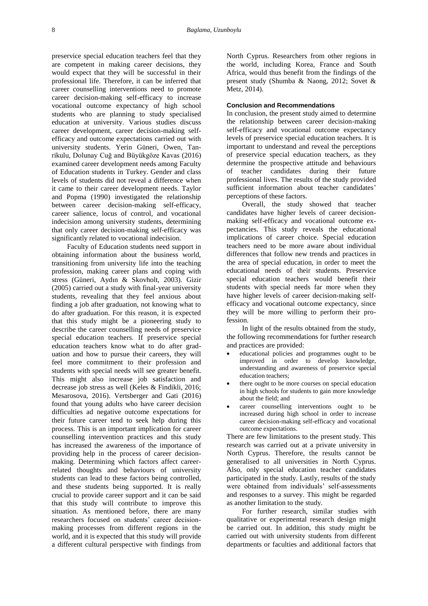preservice special education teachers feel that they are competent in making career decisions, they would expect that they will be successful in their professional life. Therefore, it can be inferred that career counselling interventions need to promote career decision-making self-efficacy to increase vocational outcome expectancy of high school students who are planning to study specialised education at university. Various studies discuss career development, career decision-making selfefficacy and outcome expectations carried out with university students. Yerin Güneri, Owen, Tanrikulu, Dolunay Cuğ and Büyükgöze Kavas (2016) examined career development needs among Faculty of Education students in Turkey. Gender and class levels of students did not reveal a difference when it came to their career development needs. Taylor and Popma (1990) investigated the relationship between career decision-making self-efficacy, career salience, locus of control, and vocational indecision among university students, determining that only career decision-making self-efficacy was significantly related to vocational indecision.

Faculty of Education students need support in obtaining information about the business world, transitioning from university life into the teaching profession, making career plans and coping with stress (Güneri, Aydın & Skovholt, 2003). Gizir (2005) carried out a study with final-year university students, revealing that they feel anxious about finding a job after graduation, not knowing what to do after graduation. For this reason, it is expected that this study might be a pioneering study to describe the career counselling needs of preservice special education teachers. If preservice special education teachers know what to do after graduation and how to pursue their careers, they will feel more commitment to their profession and students with special needs will see greater benefit. This might also increase job satisfaction and decrease job stress as well (Keles & Findikli, 2016; Mesarosova, 2016). Vertsberger and Gati (2016) found that young adults who have career decision difficulties ad negative outcome expectations for their future career tend to seek help during this process. This is an important implication for career counselling intervention practices and this study has increased the awareness of the importance of providing help in the process of career decisionmaking. Determining which factors affect careerrelated thoughts and behaviours of university students can lead to these factors being controlled, and these students being supported. It is really crucial to provide career support and it can be said that this study will contribute to improve this situation. As mentioned before, there are many researchers focused on students' career decisionmaking processes from different regions in the world, and it is expected that this study will provide a different cultural perspective with findings from

North Cyprus. Researchers from other regions in the world, including Korea, France and South Africa, would thus benefit from the findings of the present study (Shumba & Naong, 2012; Sovet & Metz, 2014).

## **Conclusion and Recommendations**

In conclusion, the present study aimed to determine the relationship between career decision-making self-efficacy and vocational outcome expectancy levels of preservice special education teachers. It is important to understand and reveal the perceptions of preservice special education teachers, as they determine the prospective attitude and behaviours of teacher candidates during their future professional lives. The results of the study provided sufficient information about teacher candidates' perceptions of these factors.

Overall, the study showed that teacher candidates have higher levels of career decisionmaking self-efficacy and vocational outcome expectancies. This study reveals the educational implications of career choice. Special education teachers need to be more aware about individual differences that follow new trends and practices in the area of special education, in order to meet the educational needs of their students. Preservice special education teachers would benefit their students with special needs far more when they have higher levels of career decision-making selfefficacy and vocational outcome expectancy, since they will be more willing to perform their profession.

In light of the results obtained from the study, the following recommendations for further research and practices are provided:

- educational policies and programmes ought to be improved in order to develop knowledge, understanding and awareness of preservice special education teachers;
- there ought to be more courses on special education in high schools for students to gain more knowledge about the field; and
- career counselling interventions ought to be increased during high school in order to increase career decision-making self-efficacy and vocational outcome expectations.

There are few limitations to the present study. This research was carried out at a private university in North Cyprus. Therefore, the results cannot be generalised to all universities in North Cyprus. Also, only special education teacher candidates participated in the study. Lastly, results of the study were obtained from individuals' self-assessments and responses to a survey. This might be regarded as another limitation to the study.

For further research, similar studies with qualitative or experimental research design might be carried out. In addition, this study might be carried out with university students from different departments or faculties and additional factors that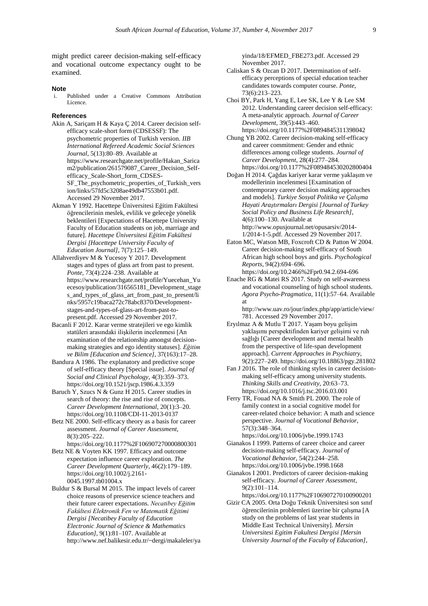might predict career decision-making self-efficacy and vocational outcome expectancy ought to be examined.

#### **Note**

Published under a Creative Commons Attribution Licence.

## **References**

- Akin A, Sariçam H & Kaya Ç 2014. Career decision selfefficacy scale-short form (CDSESSF): The psychometric properties of Turkish version. *IIB International Refereed Academic Social Sciences Journal*, 5(13):80–89. Available at [https://www.researchgate.net/profile/Hakan\\_Sarica](https://www.researchgate.net/profile/Hakan_Saricam2/publication/261579087_Career_Decision_Self-efficacy_Scale-Short_form_CDSES-SF_The_psychometric_properties_of_Turkish_version/links/57fd5c3208ae49db47553b01.pdf) [m2/publication/261579087\\_Career\\_Decision\\_Self](https://www.researchgate.net/profile/Hakan_Saricam2/publication/261579087_Career_Decision_Self-efficacy_Scale-Short_form_CDSES-SF_The_psychometric_properties_of_Turkish_version/links/57fd5c3208ae49db47553b01.pdf)[efficacy\\_Scale-Short\\_form\\_CDSES-](https://www.researchgate.net/profile/Hakan_Saricam2/publication/261579087_Career_Decision_Self-efficacy_Scale-Short_form_CDSES-SF_The_psychometric_properties_of_Turkish_version/links/57fd5c3208ae49db47553b01.pdf)[SF\\_The\\_psychometric\\_properties\\_of\\_Turkish\\_vers](https://www.researchgate.net/profile/Hakan_Saricam2/publication/261579087_Career_Decision_Self-efficacy_Scale-Short_form_CDSES-SF_The_psychometric_properties_of_Turkish_version/links/57fd5c3208ae49db47553b01.pdf) [ion/links/57fd5c3208ae49db47553b01.pdf.](https://www.researchgate.net/profile/Hakan_Saricam2/publication/261579087_Career_Decision_Self-efficacy_Scale-Short_form_CDSES-SF_The_psychometric_properties_of_Turkish_version/links/57fd5c3208ae49db47553b01.pdf)  Accessed 29 November 2017.
- Akman Y 1992. Hacettepe Üniversitesi Eğitim Fakültesi öğrencilerinin meslek, evlilik ve geleceğe yönelik beklentileri [Expectations of Hacettepe University Faculty of Education students on job, marriage and future]. *Hacettepe Üniversitesi Eğitim Fakültesi Dergisi [Hacettepe University Faculty of Education Journal]*, 7(7):125–149.
- Allahverdiyev M & Yucesoy Y 2017. Development stages and types of glass art from past to present. *Ponte*, 73(4):224–238. Available at [https://www.researchgate.net/profile/Yuecehan\\_Yu](https://www.researchgate.net/profile/Yuecehan_Yuecesoy/publication/316565181_Development_stages_and_types_of_glass_art_from_past_to_present/links/5957c19baca272c78abc8370/Development-stages-and-types-of-glass-art-from-past-to-present.pdf) [ecesoy/publication/316565181\\_Development\\_stage](https://www.researchgate.net/profile/Yuecehan_Yuecesoy/publication/316565181_Development_stages_and_types_of_glass_art_from_past_to_present/links/5957c19baca272c78abc8370/Development-stages-and-types-of-glass-art-from-past-to-present.pdf) [s\\_and\\_types\\_of\\_glass\\_art\\_from\\_past\\_to\\_present/li](https://www.researchgate.net/profile/Yuecehan_Yuecesoy/publication/316565181_Development_stages_and_types_of_glass_art_from_past_to_present/links/5957c19baca272c78abc8370/Development-stages-and-types-of-glass-art-from-past-to-present.pdf) [nks/5957c19baca272c78abc8370/Development](https://www.researchgate.net/profile/Yuecehan_Yuecesoy/publication/316565181_Development_stages_and_types_of_glass_art_from_past_to_present/links/5957c19baca272c78abc8370/Development-stages-and-types-of-glass-art-from-past-to-present.pdf)[stages-and-types-of-glass-art-from-past-to](https://www.researchgate.net/profile/Yuecehan_Yuecesoy/publication/316565181_Development_stages_and_types_of_glass_art_from_past_to_present/links/5957c19baca272c78abc8370/Development-stages-and-types-of-glass-art-from-past-to-present.pdf)[present.pdf.](https://www.researchgate.net/profile/Yuecehan_Yuecesoy/publication/316565181_Development_stages_and_types_of_glass_art_from_past_to_present/links/5957c19baca272c78abc8370/Development-stages-and-types-of-glass-art-from-past-to-present.pdf) Accessed 29 November 2017.
- Bacanli F 2012. Karar verme stratejileri ve ego kimlik statüleri arasındaki ilişkilerin incelenmesi [An examination of the relationship amongst decisionmaking strategies and ego identity statuses]. *Eğitim ve Bilim [Education and Science]*, 37(163):17–28.
- Bandura A 1986. The explanatory and predictive scope of self-efficacy theory [Special issue]. *Journal of Social and Clinical Psychology*, 4(3):359–373. <https://doi.org/10.1521/jscp.1986.4.3.359>
- Baruch Y, Szucs N & Gunz H 2015. Career studies in search of theory: the rise and rise of concepts. *Career Development International*, 20(1):3–20. <https://doi.org/10.1108/CDI-11-2013-0137>
- Betz NE 2000. Self-efficacy theory as a basis for career assessment. *Journal of Career Assessment*, 8(3):205–222.
- <https://doi.org/10.1177%2F106907270000800301> Betz NE & Voyten KK 1997. Efficacy and outcome
- expectation influence career exploration. *The Career Development Quarterly*, 46(2):179–189. [https://doi.org/10.1002/j.2161-](https://doi.org/10.1002/j.2161-0045.1997.tb01004.x) [0045.1997.tb01004.x](https://doi.org/10.1002/j.2161-0045.1997.tb01004.x)
- Buldur S & Bursal M 2015. The impact levels of career choice reasons of preservice science teachers and their future career expectations. *Necatibey Eğitim Fakültesi Elektronik Fen ve Matematik Eğitimi Dergisi [Necatibey Faculty of Education Electronic Journal of Science & Mathematics Education]*, 9(1):81–107. Available at [http://www.nef.balikesir.edu.tr/~dergi/makaleler/ya](http://www.nef.balikesir.edu.tr/~dergi/makaleler/yayinda/18/EFMED_FBE273.pdf)

[yinda/18/EFMED\\_FBE273.pdf.](http://www.nef.balikesir.edu.tr/~dergi/makaleler/yayinda/18/EFMED_FBE273.pdf) Accessed 29 November 2017.

- Caliskan S & Ozcan D 2017. Determination of selfefficacy perceptions of special education teacher candidates towards computer course. *Ponte*, 73(6):213–223.
- Choi BY, Park H, Yang E, Lee SK, Lee Y & Lee SM 2012. Understanding career decision self-efficacy: A meta-analytic approach. *Journal of Career Development*, 39(5):443–460. <https://doi.org/10.1177%2F0894845311398042>
- Chung YB 2002. Career decision-making self-efficacy and career commitment: Gender and ethnic differences among college students. *Journal of Career Development*, 28(4):277–284. <https://doi.org/10.1177%2F089484530202800404>
- Doğan H 2014. Çağdas kariyer karar verme yaklaşım ve modellerinin incelenmesi [Examination of contemporary career decision making approaches and models]. *Turkiye Sosyal Politika ve Çalışma Hayati Araştırmaları Dergisi [Journal of Turkey Social Policy and Business Life Research]*, 4(6):100–130. Available at [http://www.opusjournal.net/opusarsiv/2014-](http://www.opusjournal.net/opusarsiv/2014-1/2014-1-5.pdf) [1/2014-1-5.pdf.](http://www.opusjournal.net/opusarsiv/2014-1/2014-1-5.pdf) Accessed 29 November 2017.
- Eaton MC, Watson MB, Foxcroft CD & Patton W 2004. Career decision-making self-efficacy of South African high school boys and girls. *Psychological Reports*, 94(2):694–696. <https://doi.org/10.2466%2Fpr0.94.2.694-696>
- Enache RG & Matei RS 2017. Study on self-awareness and vocational counseling of high school students. *Agora Psycho-Pragmatica*, 11(1):57–64. Available at

[http://www.uav.ro/jour/index.php/app/article/view/](http://www.uav.ro/jour/index.php/app/article/view/781) [781.](http://www.uav.ro/jour/index.php/app/article/view/781) Accessed 29 November 2017.

- Eryılmaz A & Mutlu T 2017. Yaşam boyu gelişim yaklaşımı perspektifinden kariyer gelişimi ve ruh sağlığı [Career development and mental health from the perspective of life-span development approach]. *Current Approaches in Psychiatry*, 9(2):227–249. <https://doi.org/10.18863/pgy.281802>
- Fan J 2016. The role of thinking styles in career decisionmaking self-efficacy among university students. *Thinking Skills and Creativity*, 20:63–73. <https://doi.org/10.1016/j.tsc.2016.03.001>
- Ferry TR, Fouad NA & Smith PL 2000. The role of family context in a social cognitive model for career-related choice behavior: A math and science perspective. *Journal of Vocational Behavior*, 57(3):348–364.

<https://doi.org/10.1006/jvbe.1999.1743> Gianakos I 1999. Patterns of career choice and career

- decision-making self-efficacy. *Journal of Vocational Behavior*, 54(2):244–258. <https://doi.org/10.1006/jvbe.1998.1668>
- Gianakos I 2001. Predictors of career decision-making self-efficacy. *Journal of Career Assessment*, 9(2):101–114.

<https://doi.org/10.1177%2F106907270100900201>

Gizir CA 2005. Orta Doğu Teknik Üniversitesi son sınıf öğrencilerinin problemleri üzerine bir çalışma [A study on the problems of last year students in Middle East Technical University]. *Mersin Universitesi Egitim Fakultesi Dergisi [Mersin University Journal of the Faculty of Education]*,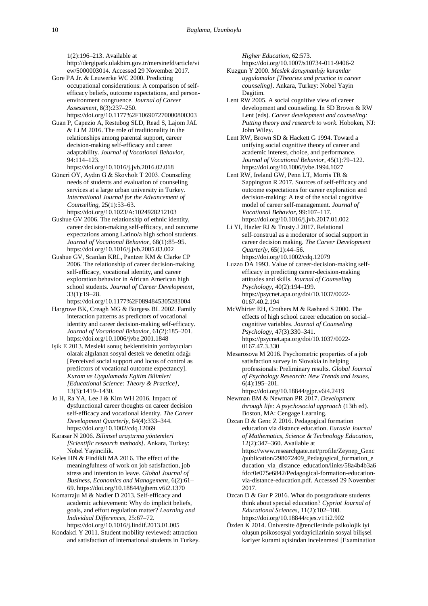1(2):196–213. Available at

[http://dergipark.ulakbim.gov.tr/mersinefd/article/vi](http://dergipark.ulakbim.gov.tr/mersinefd/article/view/5000003014) [ew/5000003014.](http://dergipark.ulakbim.gov.tr/mersinefd/article/view/5000003014) Accessed 29 November 2017.

Gore PA Jr. & Leuwerke WC 2000. Predicting occupational considerations: A comparison of selfefficacy beliefs, outcome expectations, and personenvironment congruence. *Journal of Career Assessment*, 8(3):237–250.

<https://doi.org/10.1177%2F106907270000800303> Guan P, Capezio A, Restubog SLD, Read S, Lajom JAL

& Li M 2016. The role of traditionality in the relationships among parental support, career decision-making self-efficacy and career adaptability. *Journal of Vocational Behavior*, 94:114–123.

<https://doi.org/10.1016/j.jvb.2016.02.018>

Güneri OY, Aydın G & Skovholt T 2003. Counseling needs of students and evaluation of counseling services at a large urban university in Turkey. *International Journal for the Advancement of Counselling*, 25(1):53–63. <https://doi.org/10.1023/A:1024928212103>

Gushue GV 2006. The relationship of ethnic identity, career decision-making self-efficacy, and outcome expectations among Latino/a high school students. *Journal of Vocational Behavior*, 68(1):85–95. <https://doi.org/10.1016/j.jvb.2005.03.002>

Gushue GV, Scanlan KRL, Pantzer KM & Clarke CP 2006. The relationship of career decision-making self-efficacy, vocational identity, and career exploration behavior in African American high school students. *Journal of Career Development*, 33(1):19–28.

<https://doi.org/10.1177%2F0894845305283004> Hargrove BK, Creagh MG & Burgess BL 2002. Family interaction patterns as predictors of vocational identity and career decision-making self-efficacy. *Journal of Vocational Behavior*, 61(2):185–201. <https://doi.org/10.1006/jvbe.2001.1848>

Işik E 2013. Mesleki sonuç beklentisinin yordayıcıları olarak algılanan sosyal destek ve denetim odağı [Perceived social support and locus of control as predictors of vocational outcome expectancy]. *Kuram ve Uygulamada Egitim Bilimleri [Educational Science: Theory & Practice]*, 13(3):1419–1430.

Jo H, Ra YA, Lee J & Kim WH 2016. Impact of dysfunctional career thoughts on career decision self‐efficacy and vocational identity. *The Career Development Quarterly*, 64(4):333–344. <https://doi.org/10.1002/cdq.12069>

Karasar N 2006. *Bilimsel araştırma yöntemleri [Scientific research methods]*. Ankara, Turkey: Nobel Yayincilik.

Keles HN & Findikli MA 2016. The effect of the meaningfulness of work on job satisfaction, job stress and intention to leave. *Global Journal of Business, Economics and Management*, 6(2):61– 69. <https://doi.org/10.18844/gjbem.v6i2.1370>

Komarraju M & Nadler D 2013. Self-efficacy and academic achievement: Why do implicit beliefs, goals, and effort regulation matter? *Learning and Individual Differences*, 25:67–72. <https://doi.org/10.1016/j.lindif.2013.01.005>

Kondakci Y 2011. Student mobility reviewed: attraction and satisfaction of international students in Turkey.

#### *Higher Education*, 62:573.

<https://doi.org/10.1007/s10734-011-9406-2>

- Kuzgun Y 2000. *Meslek danışmanlığı kuramlar uygulamalar [Theories and practice in career counseling]*. Ankara, Turkey: Nobel Yayin Dagitim.
- Lent RW 2005. A social cognitive view of career development and counseling. In SD Brown & RW Lent (eds). *Career development and counseling: Putting theory and research to work*. Hoboken, NJ: John Wiley.
- Lent RW, Brown SD & Hackett G 1994. Toward a unifying social cognitive theory of career and academic interest, choice, and performance. *Journal of Vocational Behavior*, 45(1):79–122. <https://doi.org/10.1006/jvbe.1994.1027>

Lent RW, Ireland GW, Penn LT, Morris TR & Sappington R 2017. Sources of self-efficacy and outcome expectations for career exploration and decision-making: A test of the social cognitive model of career self-management. *Journal of Vocational Behavior*, 99:107–117. <https://doi.org/10.1016/j.jvb.2017.01.002>

Li YI, Hazler RJ & Trusty J 2017. Relational self‐construal as a moderator of social support in career decision making. *The Career Development Quarterly*, 65(1):44–56. <https://doi.org/10.1002/cdq.12079>

Luzzo DA 1993. Value of career-decision-making selfefficacy in predicting career-decision-making attitudes and skills. *Journal of Counseling Psychology*, 40(2):194–199. [https://psycnet.apa.org/doi/10.1037/0022-](https://psycnet.apa.org/doi/10.1037/0022-0167.40.2.194) [0167.40.2.194](https://psycnet.apa.org/doi/10.1037/0022-0167.40.2.194)

McWhirter EH, Crothers M & Rasheed S 2000. The effects of high school career education on social– cognitive variables. *Journal of Counseling Psychology*, 47(3):330–341. [https://psycnet.apa.org/doi/10.1037/0022-](https://psycnet.apa.org/doi/10.1037/0022-0167.47.3.330) [0167.47.3.330](https://psycnet.apa.org/doi/10.1037/0022-0167.47.3.330)

Mesarosova M 2016. Psychometric properties of a job satisfaction survey in Slovakia in helping professionals: Preliminary results. *Global Journal of Psychology Research: New Trends and Issues*, 6(4):195–201.

<https://doi.org/10.18844/gjpr.v6i4.2419> Newman BM & Newman PR 2017. *Development through life: A psychosocial approach* (13th ed). Boston, MA: Cengage Learning.

Ozcan D & Genc Z 2016. Pedagogical formation education via distance education. *Eurasia Journal of Mathematics, Science & Technology Education*, 12(2):347–360. Available at

[https://www.researchgate.net/profile/Zeynep\\_Genc](https://www.researchgate.net/profile/Zeynep_Genc/publication/298072409_Pedagogical_formation_education_via_distance_education/links/58a4b4b3a6fdcc0e075e6842/Pedagogical-formation-education-via-distance-education.pdf) [/publication/298072409\\_Pedagogical\\_formation\\_e](https://www.researchgate.net/profile/Zeynep_Genc/publication/298072409_Pedagogical_formation_education_via_distance_education/links/58a4b4b3a6fdcc0e075e6842/Pedagogical-formation-education-via-distance-education.pdf) [ducation\\_via\\_distance\\_education/links/58a4b4b3a6](https://www.researchgate.net/profile/Zeynep_Genc/publication/298072409_Pedagogical_formation_education_via_distance_education/links/58a4b4b3a6fdcc0e075e6842/Pedagogical-formation-education-via-distance-education.pdf) [fdcc0e075e6842/Pedagogical-formation-education](https://www.researchgate.net/profile/Zeynep_Genc/publication/298072409_Pedagogical_formation_education_via_distance_education/links/58a4b4b3a6fdcc0e075e6842/Pedagogical-formation-education-via-distance-education.pdf)[via-distance-education.pdf.](https://www.researchgate.net/profile/Zeynep_Genc/publication/298072409_Pedagogical_formation_education_via_distance_education/links/58a4b4b3a6fdcc0e075e6842/Pedagogical-formation-education-via-distance-education.pdf) Accessed 29 November 2017.

Ozcan D & Gur P 2016. What do postgraduate students think about special education? *Cypriot Journal of Educational Sciences*, 11(2):102–108. <https://doi.org/10.18844/cjes.v11i2.902>

Özden K 2014. Üniversite öğrencilerinde psikolojik iyi oluşun psikososyal yordayicilarinin sosyal bilişsel kariyer kurami açisindan incelenmesi [Examination